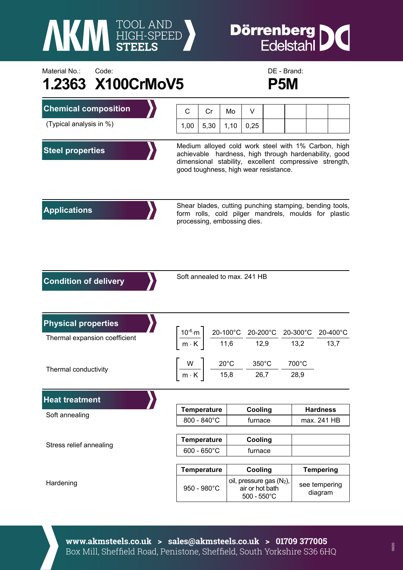

## **Dörrenberg**<br>Edelstahl I

## Material No.: Code: Code: Code: DE - Brand: **1.2363 X100CrMoV5 P5M**



| <b>Chemical composition</b>   | C                                                                                                                                                                                                               | Cr          | Mo   | V                                                                                                    |  |               |                          |  |
|-------------------------------|-----------------------------------------------------------------------------------------------------------------------------------------------------------------------------------------------------------------|-------------|------|------------------------------------------------------------------------------------------------------|--|---------------|--------------------------|--|
| (Typical analysis in %)       | 1,00                                                                                                                                                                                                            | 5,30        | 1,10 | 0,25                                                                                                 |  |               |                          |  |
| <b>Steel properties</b>       | Medium alloyed cold work steel with 1% Carbon, high<br>achievable hardness, high through hardenability, good<br>dimensional stability, excellent compressive strength,<br>good toughness, high wear resistance. |             |      |                                                                                                      |  |               |                          |  |
| <b>Applications</b>           | Shear blades, cutting punching stamping, bending tools,<br>form rolls, cold pilger mandrels, moulds for plastic<br>processing, embossing dies.                                                                  |             |      |                                                                                                      |  |               |                          |  |
| <b>Condition of delivery</b>  | Soft annealed to max. 241 HB                                                                                                                                                                                    |             |      |                                                                                                      |  |               |                          |  |
| <b>Physical properties</b>    |                                                                                                                                                                                                                 |             |      |                                                                                                      |  |               |                          |  |
| Thermal expansion coefficient | $\left\lceil \frac{10^{-6} \cdot m}{m \cdot K} \right\rceil \frac{20 - 100^{\circ}C}{11,6} \frac{20 - 200^{\circ}C}{12,9} \frac{20 - 300^{\circ}C}{13,2} \frac{20 - 400^{\circ}C}{13,7} \right\rceil$           |             |      |                                                                                                      |  |               |                          |  |
| Thermal conductivity          |                                                                                                                                                                                                                 |             |      | $\left\lceil \frac{W}{m\cdot K} \right\rceil$ $\frac{20^{\circ}C}{15,8}$ $\frac{350^{\circ}C}{26,7}$ |  | 700°C<br>28,9 |                          |  |
| <b>Heat treatment</b>         |                                                                                                                                                                                                                 |             |      |                                                                                                      |  |               |                          |  |
| Soft annealing                | <b>Temperature</b>                                                                                                                                                                                              |             |      | Cooling                                                                                              |  |               | <b>Hardness</b>          |  |
|                               | 800 - 840°C                                                                                                                                                                                                     |             |      | furnace                                                                                              |  |               | max. 241 HB              |  |
| Stress relief annealing       | <b>Temperature</b>                                                                                                                                                                                              |             |      | Cooling                                                                                              |  |               |                          |  |
|                               | $600 - 650^{\circ}$ C                                                                                                                                                                                           |             |      | furnace                                                                                              |  |               |                          |  |
|                               | <b>Temperature</b>                                                                                                                                                                                              |             |      | Cooling                                                                                              |  |               | <b>Tempering</b>         |  |
| Hardening                     |                                                                                                                                                                                                                 | 950 - 980°C |      | oil, pressure gas (N2),<br>air or hot bath<br>$500 - 550^{\circ}$ C                                  |  |               | see tempering<br>diagram |  |

**www.akmsteels.co.uk > sales@akmsteels.co.uk > 01709 377005**  Box Mill, Sheffield Road, Penistone, Sheffield, South Yorkshire S36 6HQ